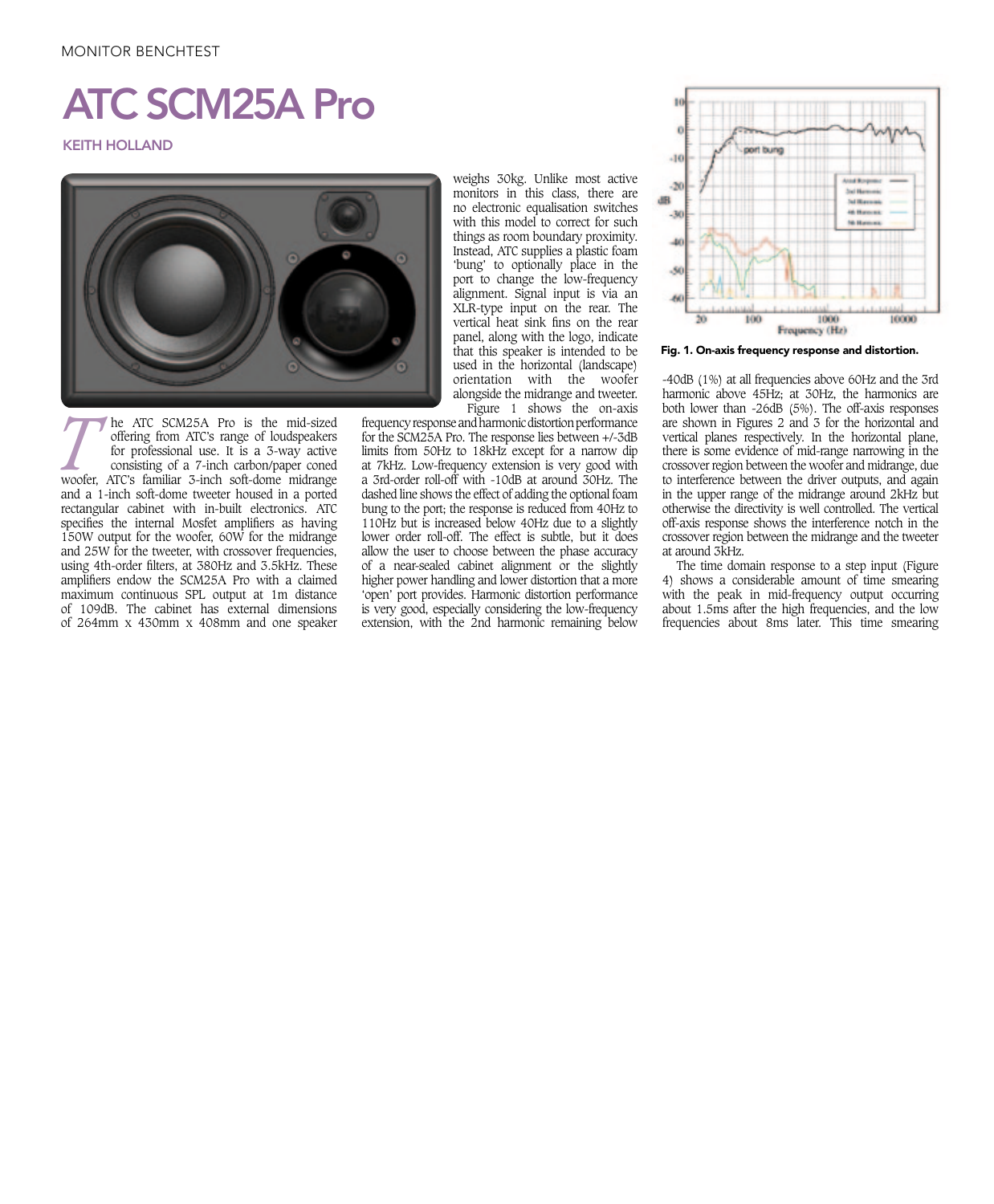## MONITOR BENCHTEST

## ATC SCM25A Pro

KEITH HOLLAND



of 109dB. The cabinet has external dimensions **THE ATC SCM25A Pro is the mid-sized offering from ATC's range of loudspeakers** for professional use. It is a 3-way active consisting of a 7-inch carbon/paper coned woofer, ATC's familiar 3-inch soft-dome midrange offering from ATC's range of loudspeakers for professional use. It is a 3-way active consisting of a 7-inch carbon/paper coned and a 1-inch soft-dome tweeter housed in a ported rectangular cabinet with in-built electronics. ATC specifies the internal Mosfet amplifiers as having 150W output for the woofer, 60W for the midrange and 25W for the tweeter, with crossover frequencies, using 4th-order filters, at 380Hz and 3.5kHz. These amplifiers endow the SCM25A Pro with a claimed maximum continuous SPL output at 1m distance of 264mm x 430mm x 408mm and one speaker

weighs 30kg. Unlike most active monitors in this class, there are no electronic equalisation switches with this model to correct for such things as room boundary proximity. Instead, ATC supplies a plastic foam 'bung' to optionally place in the port to change the low-frequency alignment. Signal input is via an XLR-type input on the rear. The vertical heat sink fins on the rear panel, along with the logo, indicate that this speaker is intended to be used in the horizontal (landscape) orientation with the woofer alongside the midrange and tweeter. Figure 1 shows the on-axis

frequency response and harmonic distortion performance for the SCM25A Pro. The response lies between +/-3dB limits from 50Hz to 18kHz except for a narrow dip at 7kHz. Low-frequency extension is very good with a 3rd-order roll-off with -10dB at around 30Hz. The dashed line shows the effect of adding the optional foam bung to the port; the response is reduced from 40Hz to 110Hz but is increased below 40Hz due to a slightly lower order roll-off. The effect is subtle, but it does allow the user to choose between the phase accuracy of a near-sealed cabinet alignment or the slightly higher power handling and lower distortion that a more 'open' port provides. Harmonic distortion performance is very good, especially considering the low-frequency extension, with the 2nd harmonic remaining below



Fig. 1. On-axis frequency response and distortion.

-40dB (1%) at all frequencies above 60Hz and the 3rd harmonic above 45Hz; at 30Hz, the harmonics are both lower than -26dB (5%). The off-axis responses are shown in Figures 2 and 3 for the horizontal and vertical planes respectively. In the horizontal plane, there is some evidence of mid-range narrowing in the crossover region between the woofer and midrange, due to interference between the driver outputs, and again in the upper range of the midrange around 2kHz but otherwise the directivity is well controlled. The vertical off-axis response shows the interference notch in the crossover region between the midrange and the tweeter at around 3kHz.

The time domain response to a step input (Figure 4) shows a considerable amount of time smearing with the peak in mid-frequency output occurring about 1.5ms after the high frequencies, and the low frequencies about 8ms later. This time smearing